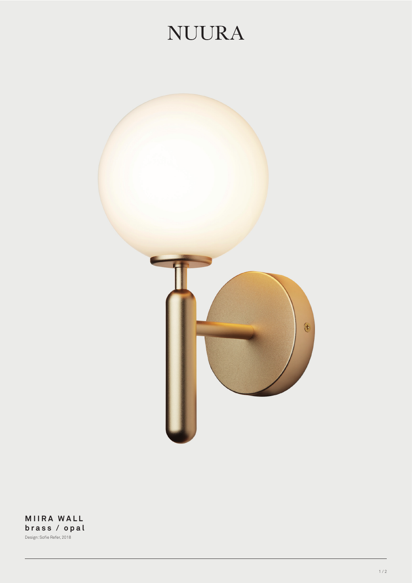## **NUURA**



**MIIRA WALL brass / opal** Design: Sofie Refer, 2018